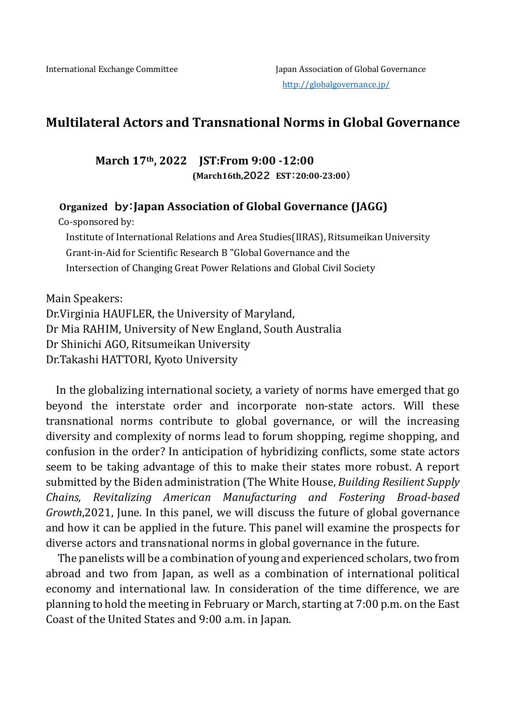# **Multilateral Actors and Transnational Norms in Global Governance**

**March 17th, 2022 JST:From 9:00 -12:00 (March16th,2022 EST:20:00-23:00)**

 **Organized by:Japan Association of Global Governance (JAGG)**

Co-sponsored by:

Institute of International Relations and Area Studies(IIRAS), Ritsumeikan University Grant-in-Aid for Scientific Research B "Global Governance and the Intersection of Changing Great Power Relations and Global Civil Society

Main Speakers: Dr.Virginia HAUFLER, the University of Maryland, Dr Mia RAHIM, University of New England, South Australia Dr Shinichi AGO, Ritsumeikan University Dr.Takashi HATTORI, Kyoto University

In the globalizing international society, a variety of norms have emerged that go beyond the interstate order and incorporate non-state actors. Will these transnational norms contribute to global governance, or will the increasing diversity and complexity of norms lead to forum shopping, regime shopping, and confusion in the order? In anticipation of hybridizing conflicts, some state actors seem to be taking advantage of this to make their states more robust. A report submitted by the Biden administration (The White House, *Building Resilient Supply Chains, Revitalizing American Manufacturing and Fostering Broad-based Growth*,2021, June. In this panel, we will discuss the future of global governance and how it can be applied in the future. This panel will examine the prospects for diverse actors and transnational norms in global governance in the future.

The panelists will be a combination of young and experienced scholars, two from abroad and two from Japan, as well as a combination of international political economy and international law. In consideration of the time difference, we are planning to hold the meeting in February or March, starting at 7:00 p.m. on the East Coast of the United States and 9:00 a.m. in Japan.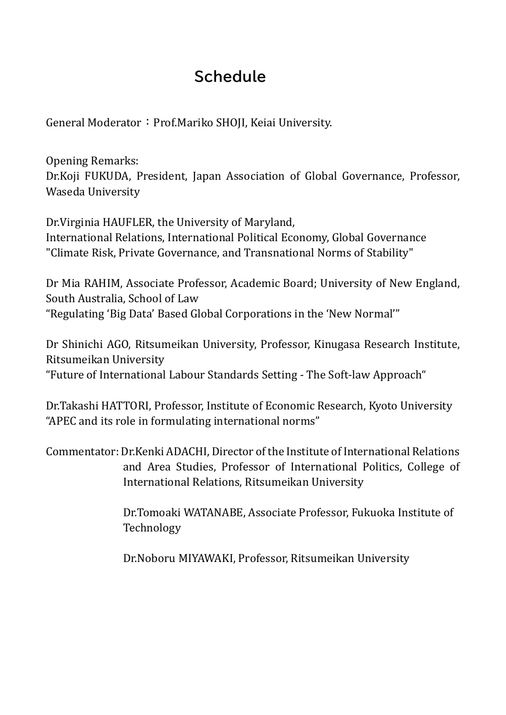# **Schedule**

General Moderator: Prof.Mariko SHOJI, Keiai University.

Opening Remarks: Dr.Koji FUKUDA, President, Japan Association of Global Governance, Professor, Waseda University

Dr.Virginia HAUFLER, the University of Maryland, International Relations, International Political Economy, Global Governance "Climate Risk, Private Governance, and Transnational Norms of Stability"

Dr Mia RAHIM, Associate Professor, Academic Board; University of New England, South Australia, School of Law "Regulating 'Big Data' Based Global Corporations in the 'New Normal'"

Dr Shinichi AGO, Ritsumeikan University, Professor, Kinugasa Research Institute, Ritsumeikan University "Future of International Labour Standards Setting - The Soft-law Approach"

Dr.Takashi HATTORI, Professor, Institute of Economic Research, Kyoto University "APEC and its role in formulating international norms"

Commentator: Dr.Kenki ADACHI, Director of the Institute of International Relations and Area Studies, Professor of International Politics, College of International Relations, Ritsumeikan University

> Dr.Tomoaki WATANABE, Associate Professor, Fukuoka Institute of Technology

Dr.Noboru MIYAWAKI, Professor, Ritsumeikan University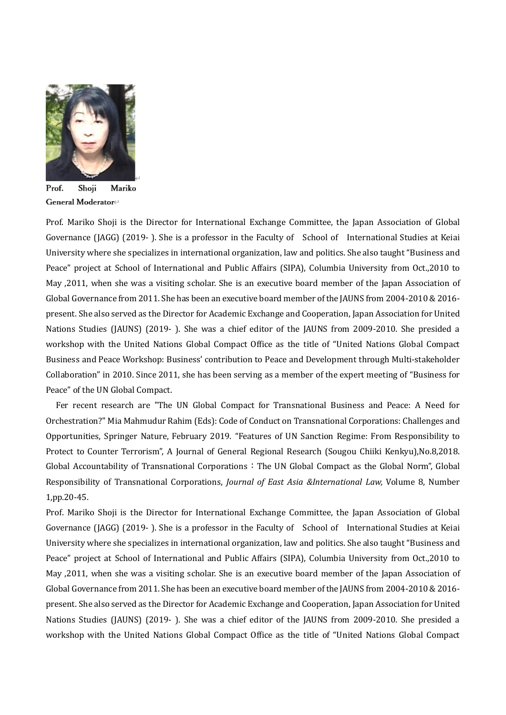

Prof. Shoji Mariko General Moderator<sup>∉</sup>

Prof. Mariko Shoji is the Director for International Exchange Committee, the Japan Association of Global Governance (JAGG) (2019- ). She is a professor in the Faculty of School of International Studies at Keiai University where she specializes in international organization, law and politics. She also taught "Business and Peace" project at School of International and Public Affairs (SIPA), Columbia University from Oct.,2010 to May ,2011, when she was a visiting scholar. She is an executive board member of the Japan Association of Global Governance from 2011. She has been an executive board member of the JAUNS from 2004-2010 & 2016 present. She also served as the Director for Academic Exchange and Cooperation, Japan Association for United Nations Studies (JAUNS) (2019- ). She was a chief editor of the JAUNS from 2009-2010. She presided a workshop with the United Nations Global Compact Office as the title of "United Nations Global Compact Business and Peace Workshop: Business' contribution to Peace and Development through Multi-stakeholder Collaboration" in 2010. Since 2011, she has been serving as a member of the expert meeting of "Business for Peace" of the UN Global Compact.

Fer recent research are "The UN Global Compact for Transnational Business and Peace: A Need for Orchestration?" Mia Mahmudur Rahim (Eds): Code of Conduct on Transnational Corporations: Challenges and Opportunities, Springer Nature, February 2019. "Features of UN Sanction Regime: From Responsibility to Protect to Counter Terrorism", A Journal of General Regional Research (Sougou Chiiki Kenkyu),No.8,2018. Global Accountability of Transnational Corporations: The UN Global Compact as the Global Norm", Global Responsibility of Transnational Corporations, *Journal of East Asia &International Law,* Volume 8, Number 1,pp.20-45.

Prof. Mariko Shoji is the Director for International Exchange Committee, the Japan Association of Global Governance (JAGG) (2019- ). She is a professor in the Faculty of School of International Studies at Keiai University where she specializes in international organization, law and politics. She also taught "Business and Peace" project at School of International and Public Affairs (SIPA), Columbia University from Oct.,2010 to May ,2011, when she was a visiting scholar. She is an executive board member of the Japan Association of Global Governance from 2011. She has been an executive board member of the JAUNS from 2004-2010 & 2016 present. She also served as the Director for Academic Exchange and Cooperation, Japan Association for United Nations Studies (JAUNS) (2019- ). She was a chief editor of the JAUNS from 2009-2010. She presided a workshop with the United Nations Global Compact Office as the title of "United Nations Global Compact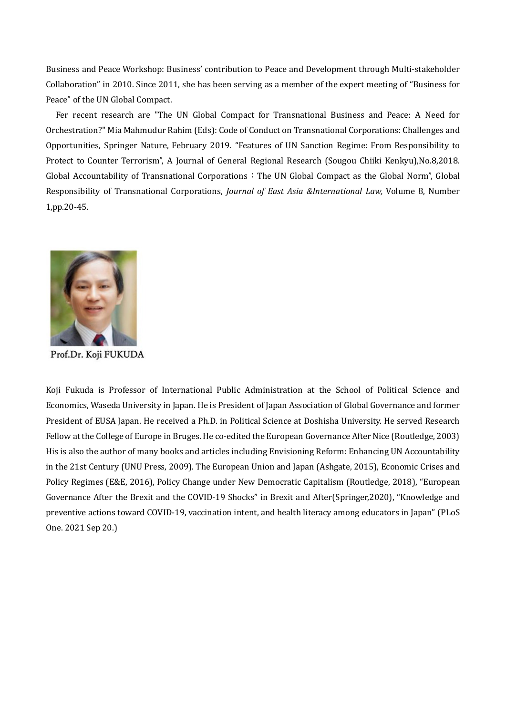Business and Peace Workshop: Business' contribution to Peace and Development through Multi-stakeholder Collaboration" in 2010. Since 2011, she has been serving as a member of the expert meeting of "Business for Peace" of the UN Global Compact.

Fer recent research are "The UN Global Compact for Transnational Business and Peace: A Need for Orchestration?" Mia Mahmudur Rahim (Eds): Code of Conduct on Transnational Corporations: Challenges and Opportunities, Springer Nature, February 2019. "Features of UN Sanction Regime: From Responsibility to Protect to Counter Terrorism", A Journal of General Regional Research (Sougou Chiiki Kenkyu),No.8,2018. Global Accountability of Transnational Corporations: The UN Global Compact as the Global Norm", Global Responsibility of Transnational Corporations, *Journal of East Asia &International Law,* Volume 8, Number 1,pp.20-45.



Prof.Dr. Koji FUKUDA

Koji Fukuda is Professor of International Public Administration at the School of Political Science and Economics, Waseda University in Japan. He is President of Japan Association of Global Governance and former President of EUSA Japan. He received a Ph.D. in Political Science at Doshisha University. He served Research Fellow at the College of Europe in Bruges. He co-edited the European Governance After Nice (Routledge, 2003) His is also the author of many books and articles including Envisioning Reform: Enhancing UN Accountability in the 21st Century (UNU Press, 2009). The European Union and Japan (Ashgate, 2015), Economic Crises and Policy Regimes (E&E, 2016), Policy Change under New Democratic Capitalism (Routledge, 2018), "European Governance After the Brexit and the COVID-19 Shocks" in Brexit and After(Springer,2020), "Knowledge and preventive actions toward COVID-19, vaccination intent, and health literacy among educators in Japan" (PLoS One. 2021 Sep 20.)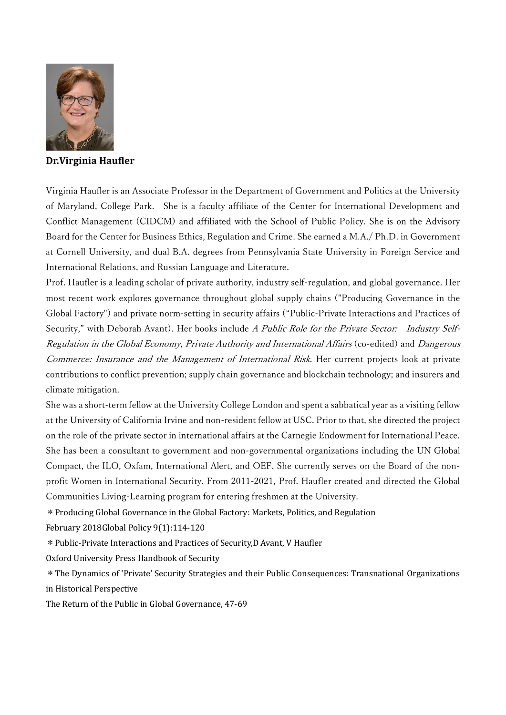

**Dr.Virginia Haufler**

Virginia Haufler is an Associate Professor in the Department of Government and Politics at the University of Maryland, College Park. She is a faculty affiliate of the Center for International Development and Conflict Management (CIDCM) and affiliated with the School of Public Policy. She is on the Advisory Board for the Center for Business Ethics, Regulation and Crime. She earned a M.A./ Ph.D. in Government at Cornell University, and dual B.A. degrees from Pennsylvania State University in Foreign Service and International Relations, and Russian Language and Literature.

Prof. Haufler is a leading scholar of private authority, industry self-regulation, and global governance. Her most recent work explores governance throughout global supply chains ("Producing Governance in the Global Factory") and private norm-setting in security affairs ("Public-Private Interactions and Practices of Security," with Deborah Avant). Her books include A Public Role for the Private Sector: Industry Self-Regulation in the Global Economy, Private Authority and International Affairs (co-edited) and Dangerous Commerce: Insurance and the Management of International Risk. Her current projects look at private contributions to conflict prevention; supply chain governance and blockchain technology; and insurers and climate mitigation.

She was a short-term fellow at the University College London and spent a sabbatical year as a visiting fellow at the University of California Irvine and non-resident fellow at USC. Prior to that, she directed the project on the role of the private sector in international affairs at the Carnegie Endowment for International Peace. She has been a consultant to government and non-governmental organizations including the UN Global Compact, the ILO, Oxfam, International Alert, and OEF. She currently serves on the Board of the nonprofit Women in International Security. From 2011-2021, Prof. Haufler created and directed the Global Communities Living-Learning program for entering freshmen at the University.

\*Producing Global Governance in the Global Factory: Markets, Politics, and Regulation

February 2018Global Policy 9(1):114-120

\*Public-Private Interactions and Practices of Security,D Avant, V Haufler

Oxford University Press Handbook of Security

\*The Dynamics of 'Private' Security Strategies and their Public Consequences: Transnational Organizations in Historical Perspective

The Return of the Public in Global Governance, 47-69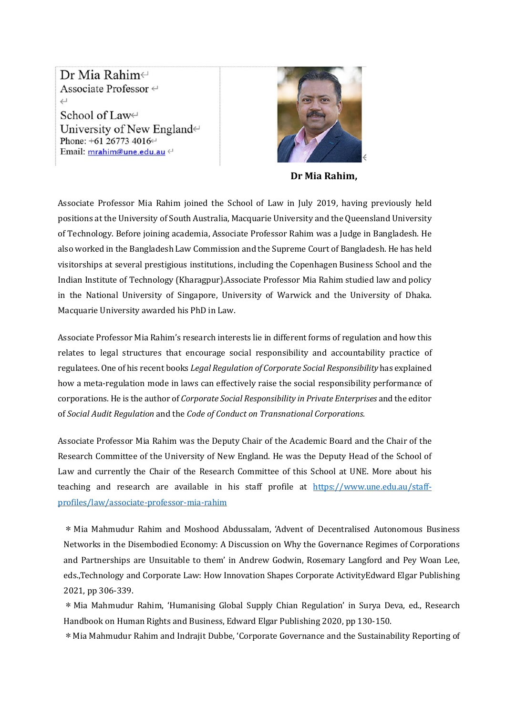Dr Mia Rahim∈ Associate Professor <  $\hookleftarrow$ School of Law<sup>⊬</sup> University of New England $\leftrightarrow$ Phone: +61 26773 4016← Email: mrahim@une.edu.au <



**Dr Mia Rahim,**

Associate Professor Mia Rahim joined the School of Law in July 2019, having previously held positions at the University of South Australia, Macquarie University and the Queensland University of Technology. Before joining academia, Associate Professor Rahim was a Judge in Bangladesh. He also worked in the Bangladesh Law Commission and the Supreme Court of Bangladesh. He has held visitorships at several prestigious institutions, including the Copenhagen Business School and the Indian Institute of Technology (Kharagpur).Associate Professor Mia Rahim studied law and policy in the National University of Singapore, University of Warwick and the University of Dhaka. Macquarie University awarded his PhD in Law.

Associate Professor Mia Rahim's research interests lie in different forms of regulation and how this relates to legal structures that encourage social responsibility and accountability practice of regulatees. One of his recent books *Legal Regulation of Corporate Social Responsibility* has explained how a meta-regulation mode in laws can effectively raise the social responsibility performance of corporations. He is the author of *Corporate Social Responsibility in Private Enterprises* and the editor of *Social Audit Regulation* and the *Code of Conduct on Transnational Corporations.*

Associate Professor Mia Rahim was the Deputy Chair of the Academic Board and the Chair of the Research Committee of the University of New England. He was the Deputy Head of the School of Law and currently the Chair of the Research Committee of this School at UNE. More about his teaching and research are available in his staff profile at [https://www.une.edu.au/staff](https://www.une.edu.au/staff-profiles/law/associate-professor-mia-rahim)[profiles/law/associate-professor-mia-rahim](https://www.une.edu.au/staff-profiles/law/associate-professor-mia-rahim)

\*Mia Mahmudur Rahim and Moshood Abdussalam, 'Advent of Decentralised Autonomous Business Networks in the Disembodied Economy: A Discussion on Why the Governance Regimes of Corporations and Partnerships are Unsuitable to them' in Andrew Godwin, Rosemary Langford and Pey Woan Lee, eds.,Technology and Corporate Law: How Innovation Shapes Corporate ActivityEdward Elgar Publishing 2021, pp 306-339.

\*Mia Mahmudur Rahim, 'Humanising Global Supply Chian Regulation' in Surya Deva, ed., Research Handbook on Human Rights and Business, Edward Elgar Publishing 2020, pp 130-150.

\*Mia Mahmudur Rahim and Indrajit Dubbe, 'Corporate Governance and the Sustainability Reporting of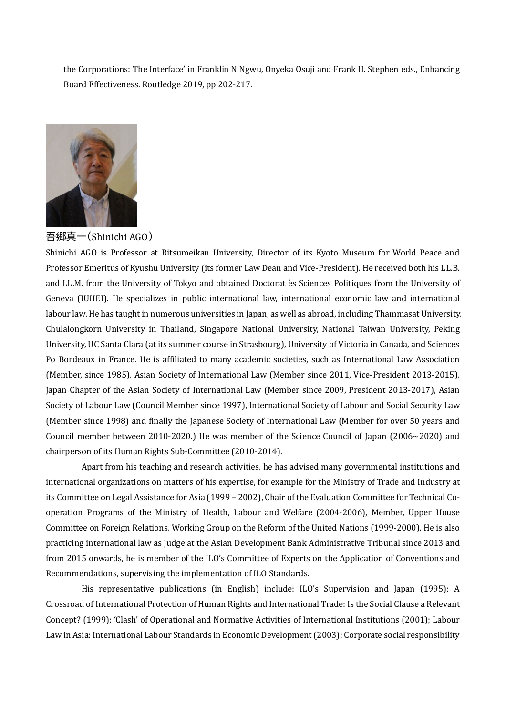the Corporations: The Interface' in Franklin N Ngwu, Onyeka Osuji and Frank H. Stephen eds., Enhancing Board Effectiveness. Routledge 2019, pp 202-217.



吾郷真一(Shinichi AGO)

Shinichi AGO is Professor at Ritsumeikan University, Director of its Kyoto Museum for World Peace and Professor Emeritus of Kyushu University (its former Law Dean and Vice-President). He received both his LL.B. and LL.M. from the University of Tokyo and obtained Doctorat ès Sciences Politiques from the University of Geneva (IUHEI). He specializes in public international law, international economic law and international labour law. He has taught in numerous universities in Japan, as well as abroad, including Thammasat University, Chulalongkorn University in Thailand, Singapore National University, National Taiwan University, Peking University, UC Santa Clara (at its summer course in Strasbourg), University of Victoria in Canada, and Sciences Po Bordeaux in France. He is affiliated to many academic societies, such as International Law Association (Member, since 1985), Asian Society of International Law (Member since 2011, Vice-President 2013-2015), Japan Chapter of the Asian Society of International Law (Member since 2009, President 2013-2017), Asian Society of Labour Law (Council Member since 1997), International Society of Labour and Social Security Law (Member since 1998) and finally the Japanese Society of International Law (Member for over 50 years and Council member between 2010-2020.) He was member of the Science Council of Japan (2006~2020) and chairperson of its Human Rights Sub-Committee (2010-2014).

Apart from his teaching and research activities, he has advised many governmental institutions and international organizations on matters of his expertise, for example for the Ministry of Trade and Industry at its Committee on Legal Assistance for Asia (1999 – 2002), Chair of the Evaluation Committee for Technical Cooperation Programs of the Ministry of Health, Labour and Welfare (2004-2006), Member, Upper House Committee on Foreign Relations, Working Group on the Reform of the United Nations (1999-2000). He is also practicing international law as Judge at the Asian Development Bank Administrative Tribunal since 2013 and from 2015 onwards, he is member of the ILO's Committee of Experts on the Application of Conventions and Recommendations, supervising the implementation of ILO Standards.

His representative publications (in English) include: ILO's Supervision and Japan (1995); A Crossroad of International Protection of Human Rights and International Trade: Is the Social Clause a Relevant Concept? (1999); 'Clash' of Operational and Normative Activities of International Institutions (2001); Labour Law in Asia: International Labour Standards in Economic Development (2003); Corporate social responsibility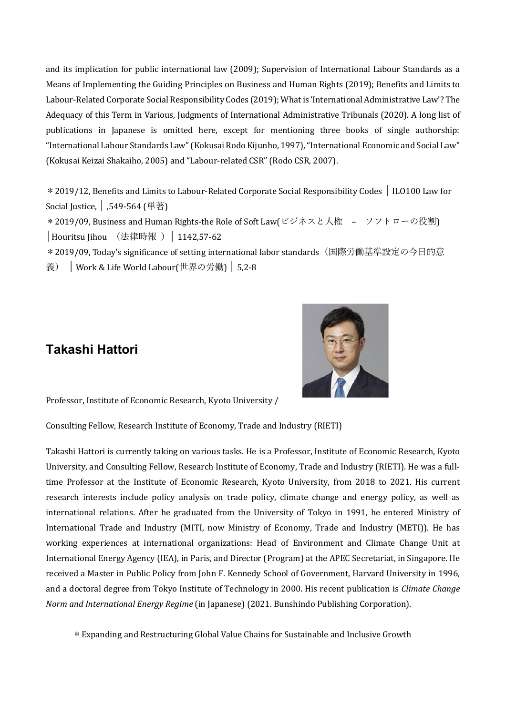and its implication for public international law (2009); Supervision of International Labour Standards as a Means of Implementing the Guiding Principles on Business and Human Rights (2019); Benefits and Limits to Labour-Related Corporate Social Responsibility Codes (2019); What is 'International Administrative Law'? The Adequacy of this Term in Various, Judgments of International Administrative Tribunals (2020). A long list of publications in Japanese is omitted here, except for mentioning three books of single authorship: "International Labour Standards Law" (Kokusai Rodo Kijunho, 1997), "International Economic and Social Law" (Kokusai Keizai Shakaiho, 2005) and "Labour-related CSR" (Rodo CSR, 2007).

\*2019/12, Benefits and Limits to Labour-Related Corporate Social Responsibility Codes │ ILO100 Law for Social Justice, │ ,549-564 (単著)

\* 2019/09, Business and Human Rights-the Role of Soft Law(ビジネスと人権 – ソフトローの役割) │Houritsu Jihou (法律時報 )│ 1142,57-62

\*2019/09, Today's significance of setting international labor standards(国際労働基準設定の今日的意 義) │ Work & Life World Labour(世界の労働) │ 5,2-8

# **Takashi Hattori**



Professor, Institute of Economic Research, Kyoto University /

Consulting Fellow, Research Institute of Economy, Trade and Industry (RIETI)

Takashi Hattori is currently taking on various tasks. He is a Professor, Institute of Economic Research, Kyoto University, and Consulting Fellow, Research Institute of Economy, Trade and Industry (RIETI). He was a fulltime Professor at the Institute of Economic Research, Kyoto University, from 2018 to 2021. His current research interests include policy analysis on trade policy, climate change and energy policy, as well as international relations. After he graduated from the University of Tokyo in 1991, he entered Ministry of International Trade and Industry (MITI, now Ministry of Economy, Trade and Industry (METI)). He has working experiences at international organizations: Head of Environment and Climate Change Unit at International Energy Agency (IEA), in Paris, and Director (Program) at the APEC Secretariat, in Singapore. He received a Master in Public Policy from John F. Kennedy School of Government, Harvard University in 1996, and a doctoral degree from Tokyo Institute of Technology in 2000. His recent publication is *Climate Change Norm and International Energy Regime* (in Japanese) (2021. Bunshindo Publishing Corporation).

\*Expanding and Restructuring Global Value Chains for Sustainable and Inclusive Growth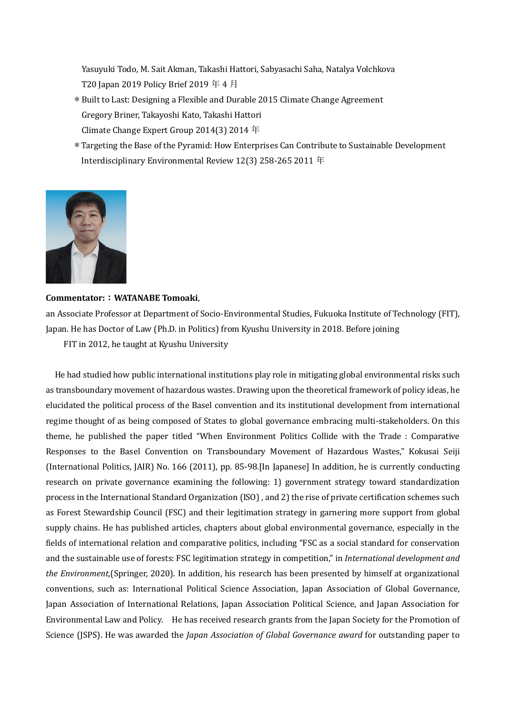Yasuyuki Todo, M. Sait Akman, Takashi Hattori, Sabyasachi Saha, Natalya Volchkova T20 Japan 2019 Policy Brief 2019 年 4 月

- \*Built to Last: Designing a Flexible and Durable 2015 Climate Change Agreement Gregory Briner, Takayoshi Kato, Takashi Hattori Climate Change Expert Group 2014(3) 2014 年
- \*Targeting the Base of the Pyramid: How Enterprises Can Contribute to Sustainable Development Interdisciplinary Environmental Review 12(3) 258-265 2011 年



#### **Commentator:**:**WATANABE Tomoaki**,

an Associate Professor at Department of Socio-Environmental Studies, Fukuoka Institute of Technology (FIT), Japan. He has Doctor of Law (Ph.D. in Politics) from Kyushu University in 2018. Before joining

FIT in 2012, he taught at Kyushu University

He had studied how public international institutions play role in mitigating global environmental risks such as transboundary movement of hazardous wastes. Drawing upon the theoretical framework of policy ideas, he elucidated the political process of the Basel convention and its institutional development from international regime thought of as being composed of States to global governance embracing multi-stakeholders. On this theme, he published the paper titled "When Environment Politics Collide with the Trade : Comparative Responses to the Basel Convention on Transboundary Movement of Hazardous Wastes," Kokusai Seiji (International Politics, JAIR) No. 166 (2011), pp. 85-98.[In Japanese] In addition, he is currently conducting research on private governance examining the following: 1) government strategy toward standardization process in the International Standard Organization (ISO) , and 2) the rise of private certification schemes such as Forest Stewardship Council (FSC) and their legitimation strategy in garnering more support from global supply chains. He has published articles, chapters about global environmental governance, especially in the fields of international relation and comparative politics, including "FSC as a social standard for conservation and the sustainable use of forests: FSC legitimation strategy in competition," in *International development and the Environment*,(Springer, 2020). In addition, his research has been presented by himself at organizational conventions, such as: International Political Science Association, Japan Association of Global Governance, Japan Association of International Relations, Japan Association Political Science, and Japan Association for Environmental Law and Policy. He has received research grants from the Japan Society for the Promotion of Science (JSPS). He was awarded the *Japan Association of Global Governance award* for outstanding paper to